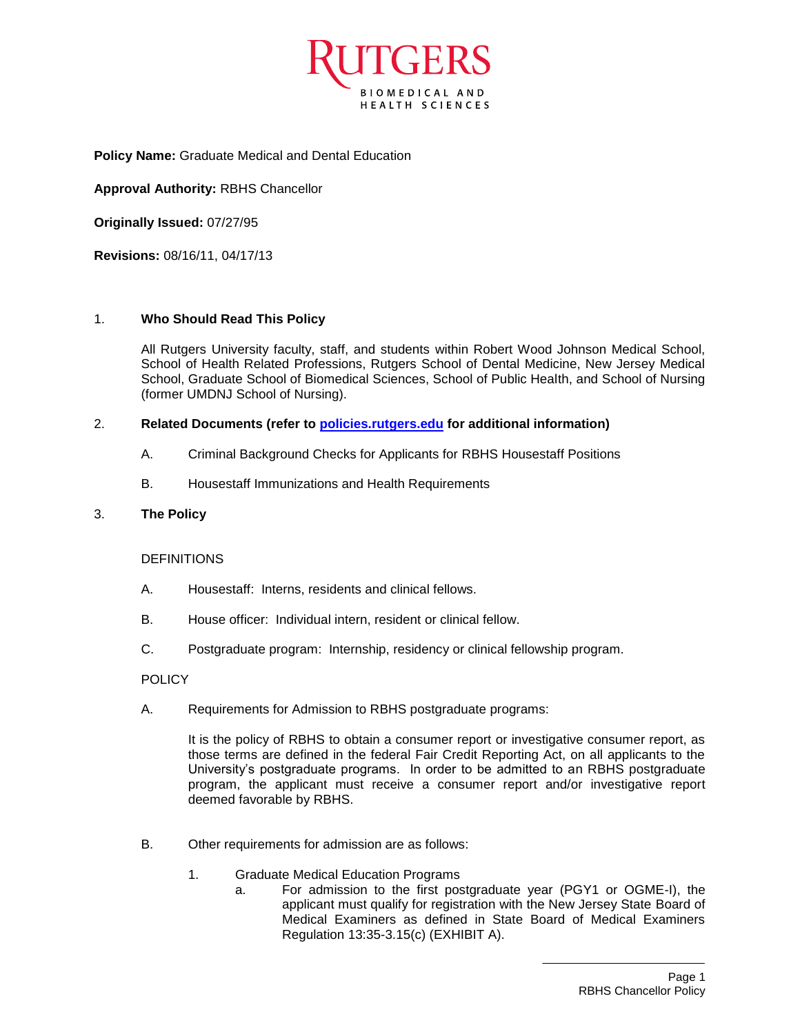

**Policy Name:** Graduate Medical and Dental Education

**Approval Authority:** RBHS Chancellor

**Originally Issued:** 07/27/95

**Revisions:** 08/16/11, 04/17/13

#### 1. **Who Should Read This Policy**

All Rutgers University faculty, staff, and students within Robert Wood Johnson Medical School, School of Health Related Professions, Rutgers School of Dental Medicine, New Jersey Medical School, Graduate School of Biomedical Sciences, School of Public Health, and School of Nursing (former UMDNJ School of Nursing).

#### 2. **Related Documents (refer to [policies.rutgers.edu](file:///C:/Users/rsedlackpr001/Documents/Rutgers/Policies/RBHS%20Policies/policies.rutgers.edu) for additional information)**

- A. Criminal Background Checks for Applicants for RBHS Housestaff Positions
- B. Housestaff Immunizations and Health Requirements

#### 3. **The Policy**

#### **DEFINITIONS**

- A. Housestaff: Interns, residents and clinical fellows.
- B. House officer: Individual intern, resident or clinical fellow.
- C. Postgraduate program: Internship, residency or clinical fellowship program.

#### POLICY

A. Requirements for Admission to RBHS postgraduate programs:

It is the policy of RBHS to obtain a consumer report or investigative consumer report, as those terms are defined in the federal Fair Credit Reporting Act, on all applicants to the University's postgraduate programs. In order to be admitted to an RBHS postgraduate program, the applicant must receive a consumer report and/or investigative report deemed favorable by RBHS.

- B. Other requirements for admission are as follows:
	- 1. Graduate Medical Education Programs
		- a. For admission to the first postgraduate year (PGY1 or OGME-I), the applicant must qualify for registration with the New Jersey State Board of Medical Examiners as defined in State Board of Medical Examiners Regulation 13:35-3.15(c) (EXHIBIT A).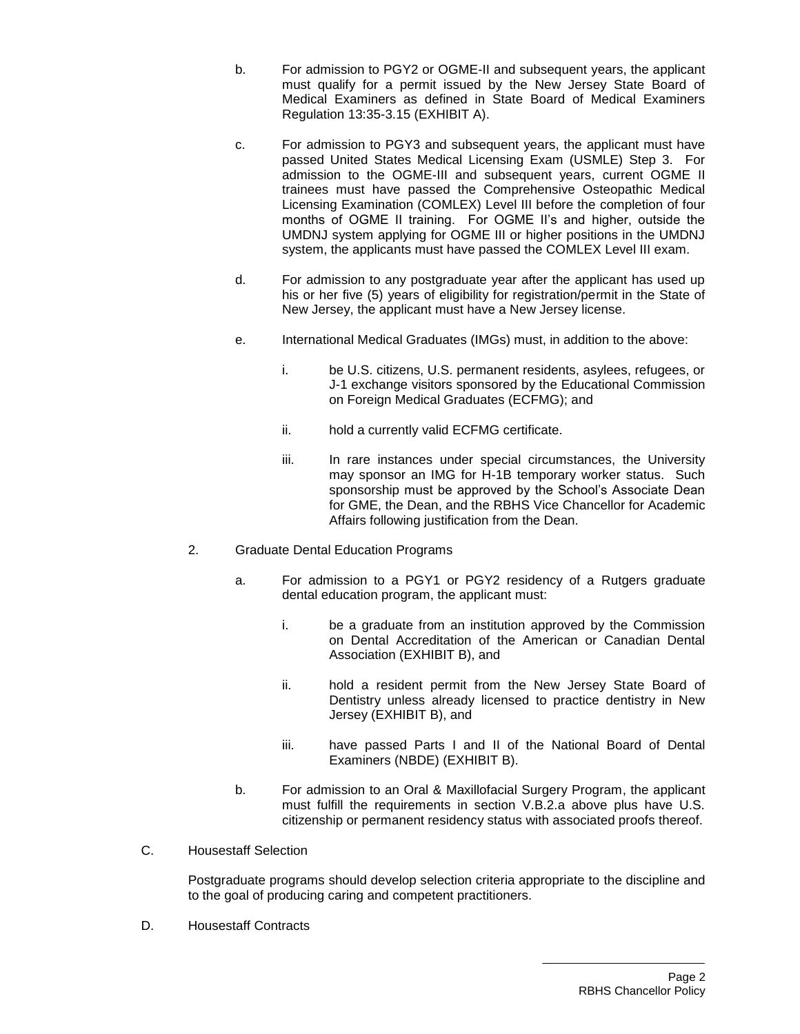- b. For admission to PGY2 or OGME-II and subsequent years, the applicant must qualify for a permit issued by the New Jersey State Board of Medical Examiners as defined in State Board of Medical Examiners Regulation 13:35-3.15 (EXHIBIT A).
- c. For admission to PGY3 and subsequent years, the applicant must have passed United States Medical Licensing Exam (USMLE) Step 3. For admission to the OGME-III and subsequent years, current OGME II trainees must have passed the Comprehensive Osteopathic Medical Licensing Examination (COMLEX) Level III before the completion of four months of OGME II training. For OGME II's and higher, outside the UMDNJ system applying for OGME III or higher positions in the UMDNJ system, the applicants must have passed the COMLEX Level III exam.
- d. For admission to any postgraduate year after the applicant has used up his or her five (5) years of eligibility for registration/permit in the State of New Jersey, the applicant must have a New Jersey license.
- e. International Medical Graduates (IMGs) must, in addition to the above:
	- i. be U.S. citizens, U.S. permanent residents, asylees, refugees, or J-1 exchange visitors sponsored by the Educational Commission on Foreign Medical Graduates (ECFMG); and
	- ii. hold a currently valid ECFMG certificate.
	- iii. In rare instances under special circumstances, the University may sponsor an IMG for H-1B temporary worker status. Such sponsorship must be approved by the School's Associate Dean for GME, the Dean, and the RBHS Vice Chancellor for Academic Affairs following justification from the Dean.
- 2. Graduate Dental Education Programs
	- a. For admission to a PGY1 or PGY2 residency of a Rutgers graduate dental education program, the applicant must:
		- i. be a graduate from an institution approved by the Commission on Dental Accreditation of the American or Canadian Dental Association (EXHIBIT B), and
		- ii. hold a resident permit from the New Jersey State Board of Dentistry unless already licensed to practice dentistry in New Jersey (EXHIBIT B), and
		- iii. have passed Parts I and II of the National Board of Dental Examiners (NBDE) (EXHIBIT B).
	- b. For admission to an Oral & Maxillofacial Surgery Program, the applicant must fulfill the requirements in section V.B.2.a above plus have U.S. citizenship or permanent residency status with associated proofs thereof.
- C. Housestaff Selection

Postgraduate programs should develop selection criteria appropriate to the discipline and to the goal of producing caring and competent practitioners.

D. Housestaff Contracts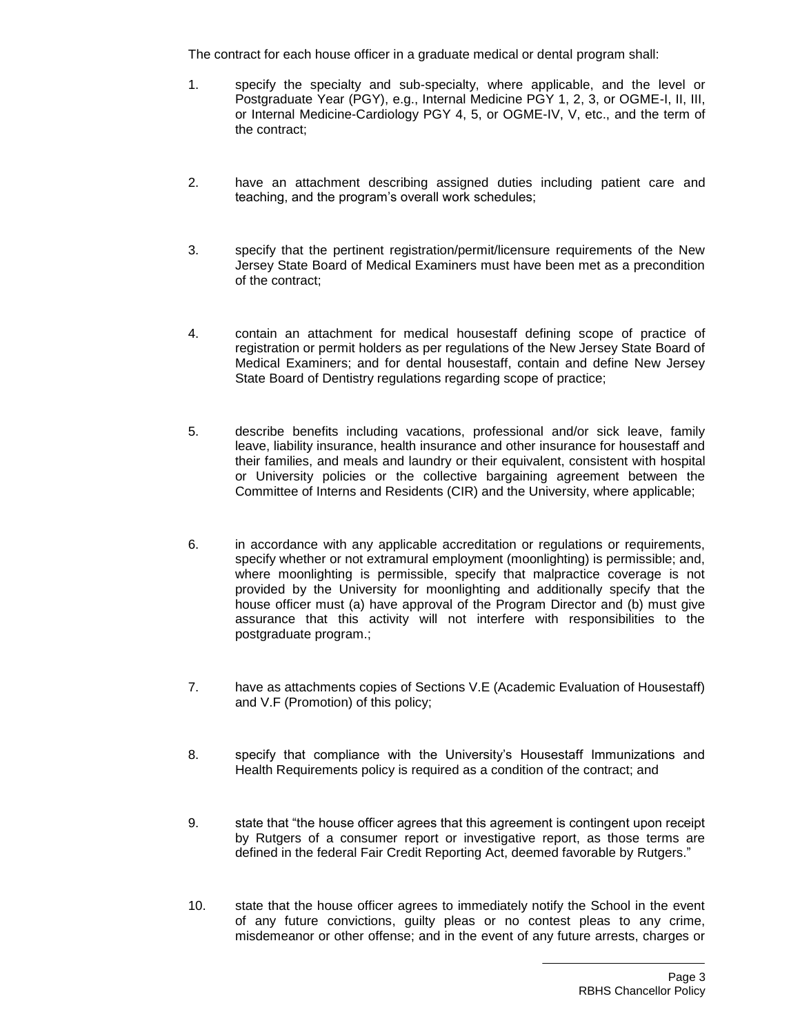The contract for each house officer in a graduate medical or dental program shall:

- 1. specify the specialty and sub-specialty, where applicable, and the level or Postgraduate Year (PGY), e.g., Internal Medicine PGY 1, 2, 3, or OGME-I, II, III, or Internal Medicine-Cardiology PGY 4, 5, or OGME-IV, V, etc., and the term of the contract;
- 2. have an attachment describing assigned duties including patient care and teaching, and the program's overall work schedules;
- 3. specify that the pertinent registration/permit/licensure requirements of the New Jersey State Board of Medical Examiners must have been met as a precondition of the contract;
- 4. contain an attachment for medical housestaff defining scope of practice of registration or permit holders as per regulations of the New Jersey State Board of Medical Examiners; and for dental housestaff, contain and define New Jersey State Board of Dentistry regulations regarding scope of practice;
- 5. describe benefits including vacations, professional and/or sick leave, family leave, liability insurance, health insurance and other insurance for housestaff and their families, and meals and laundry or their equivalent, consistent with hospital or University policies or the collective bargaining agreement between the Committee of Interns and Residents (CIR) and the University, where applicable;
- 6. in accordance with any applicable accreditation or regulations or requirements, specify whether or not extramural employment (moonlighting) is permissible; and, where moonlighting is permissible, specify that malpractice coverage is not provided by the University for moonlighting and additionally specify that the house officer must (a) have approval of the Program Director and (b) must give assurance that this activity will not interfere with responsibilities to the postgraduate program.;
- 7. have as attachments copies of Sections V.E (Academic Evaluation of Housestaff) and V.F (Promotion) of this policy;
- 8. specify that compliance with the University's Housestaff Immunizations and Health Requirements policy is required as a condition of the contract; and
- 9. state that "the house officer agrees that this agreement is contingent upon receipt by Rutgers of a consumer report or investigative report, as those terms are defined in the federal Fair Credit Reporting Act, deemed favorable by Rutgers."
- 10. state that the house officer agrees to immediately notify the School in the event of any future convictions, guilty pleas or no contest pleas to any crime, misdemeanor or other offense; and in the event of any future arrests, charges or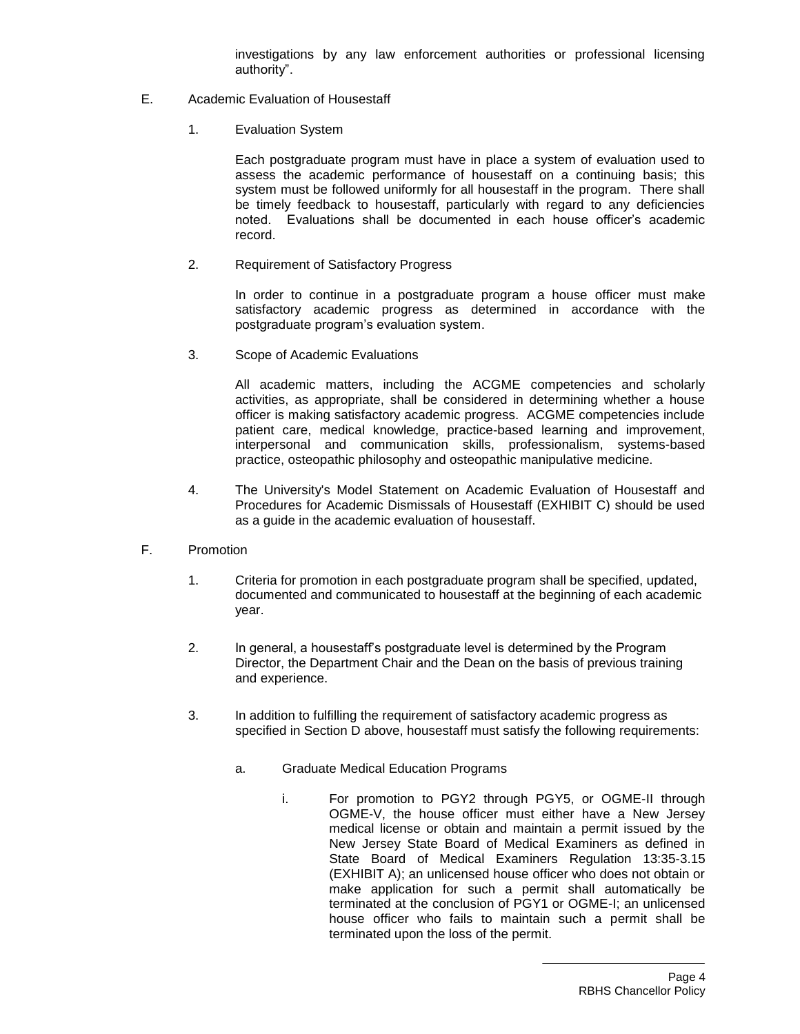investigations by any law enforcement authorities or professional licensing authority".

- E. Academic Evaluation of Housestaff
	- 1. Evaluation System

Each postgraduate program must have in place a system of evaluation used to assess the academic performance of housestaff on a continuing basis; this system must be followed uniformly for all housestaff in the program. There shall be timely feedback to housestaff, particularly with regard to any deficiencies noted. Evaluations shall be documented in each house officer's academic record.

2. Requirement of Satisfactory Progress

In order to continue in a postgraduate program a house officer must make satisfactory academic progress as determined in accordance with the postgraduate program's evaluation system.

3. Scope of Academic Evaluations

All academic matters, including the ACGME competencies and scholarly activities, as appropriate, shall be considered in determining whether a house officer is making satisfactory academic progress. ACGME competencies include patient care, medical knowledge, practice-based learning and improvement, interpersonal and communication skills, professionalism, systems-based practice, osteopathic philosophy and osteopathic manipulative medicine.

- 4. The University's Model Statement on Academic Evaluation of Housestaff and Procedures for Academic Dismissals of Housestaff (EXHIBIT C) should be used as a guide in the academic evaluation of housestaff.
- F. Promotion
	- 1. Criteria for promotion in each postgraduate program shall be specified, updated, documented and communicated to housestaff at the beginning of each academic year.
	- 2. In general, a housestaff's postgraduate level is determined by the Program Director, the Department Chair and the Dean on the basis of previous training and experience.
	- 3. In addition to fulfilling the requirement of satisfactory academic progress as specified in Section D above, housestaff must satisfy the following requirements:
		- a. Graduate Medical Education Programs
			- i. For promotion to PGY2 through PGY5, or OGME-II through OGME-V, the house officer must either have a New Jersey medical license or obtain and maintain a permit issued by the New Jersey State Board of Medical Examiners as defined in State Board of Medical Examiners Regulation 13:35-3.15 (EXHIBIT A); an unlicensed house officer who does not obtain or make application for such a permit shall automatically be terminated at the conclusion of PGY1 or OGME-I; an unlicensed house officer who fails to maintain such a permit shall be terminated upon the loss of the permit.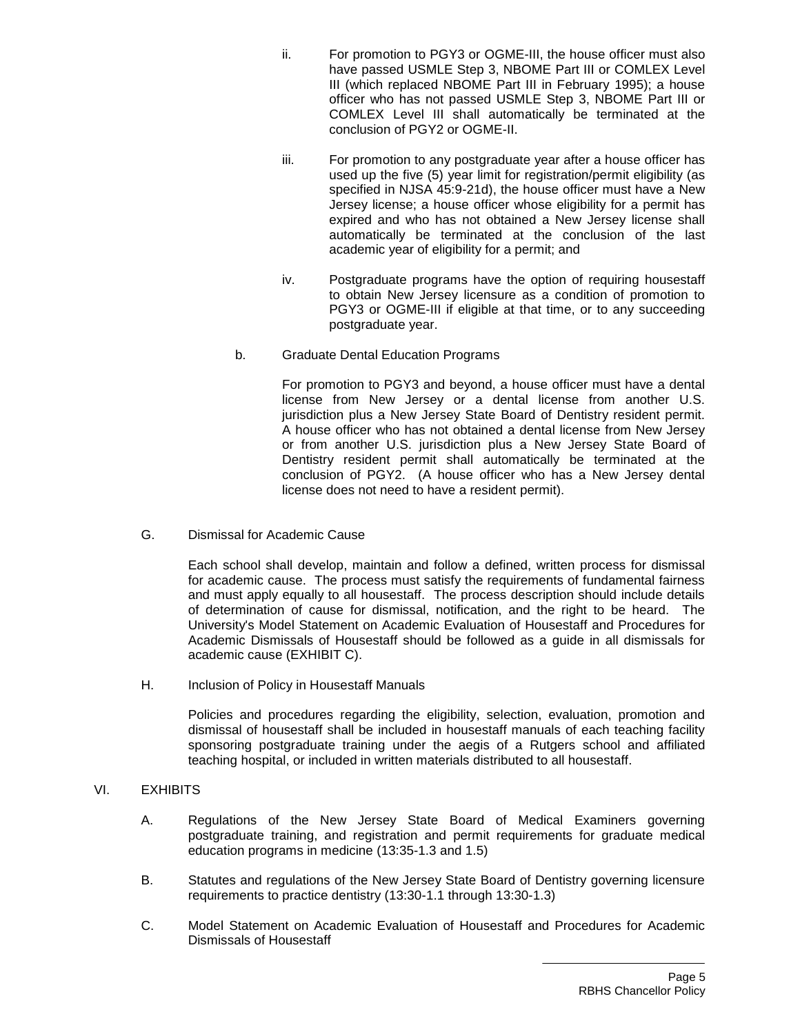- ii. For promotion to PGY3 or OGME-III, the house officer must also have passed USMLE Step 3, NBOME Part III or COMLEX Level III (which replaced NBOME Part III in February 1995); a house officer who has not passed USMLE Step 3, NBOME Part III or COMLEX Level III shall automatically be terminated at the conclusion of PGY2 or OGME-II.
- iii. For promotion to any postgraduate year after a house officer has used up the five (5) year limit for registration/permit eligibility (as specified in NJSA 45:9-21d), the house officer must have a New Jersey license; a house officer whose eligibility for a permit has expired and who has not obtained a New Jersey license shall automatically be terminated at the conclusion of the last academic year of eligibility for a permit; and
- iv. Postgraduate programs have the option of requiring housestaff to obtain New Jersey licensure as a condition of promotion to PGY3 or OGME-III if eligible at that time, or to any succeeding postgraduate year.
- b. Graduate Dental Education Programs

For promotion to PGY3 and beyond, a house officer must have a dental license from New Jersey or a dental license from another U.S. jurisdiction plus a New Jersey State Board of Dentistry resident permit. A house officer who has not obtained a dental license from New Jersey or from another U.S. jurisdiction plus a New Jersey State Board of Dentistry resident permit shall automatically be terminated at the conclusion of PGY2. (A house officer who has a New Jersey dental license does not need to have a resident permit).

G. Dismissal for Academic Cause

Each school shall develop, maintain and follow a defined, written process for dismissal for academic cause. The process must satisfy the requirements of fundamental fairness and must apply equally to all housestaff. The process description should include details of determination of cause for dismissal, notification, and the right to be heard. The University's Model Statement on Academic Evaluation of Housestaff and Procedures for Academic Dismissals of Housestaff should be followed as a guide in all dismissals for academic cause (EXHIBIT C).

H. Inclusion of Policy in Housestaff Manuals

Policies and procedures regarding the eligibility, selection, evaluation, promotion and dismissal of housestaff shall be included in housestaff manuals of each teaching facility sponsoring postgraduate training under the aegis of a Rutgers school and affiliated teaching hospital, or included in written materials distributed to all housestaff.

## VI. EXHIBITS

- A. Regulations of the New Jersey State Board of Medical Examiners governing postgraduate training, and registration and permit requirements for graduate medical education programs in medicine (13:35-1.3 and 1.5)
- B. Statutes and regulations of the New Jersey State Board of Dentistry governing licensure requirements to practice dentistry (13:30-1.1 through 13:30-1.3)
- C. Model Statement on Academic Evaluation of Housestaff and Procedures for Academic Dismissals of Housestaff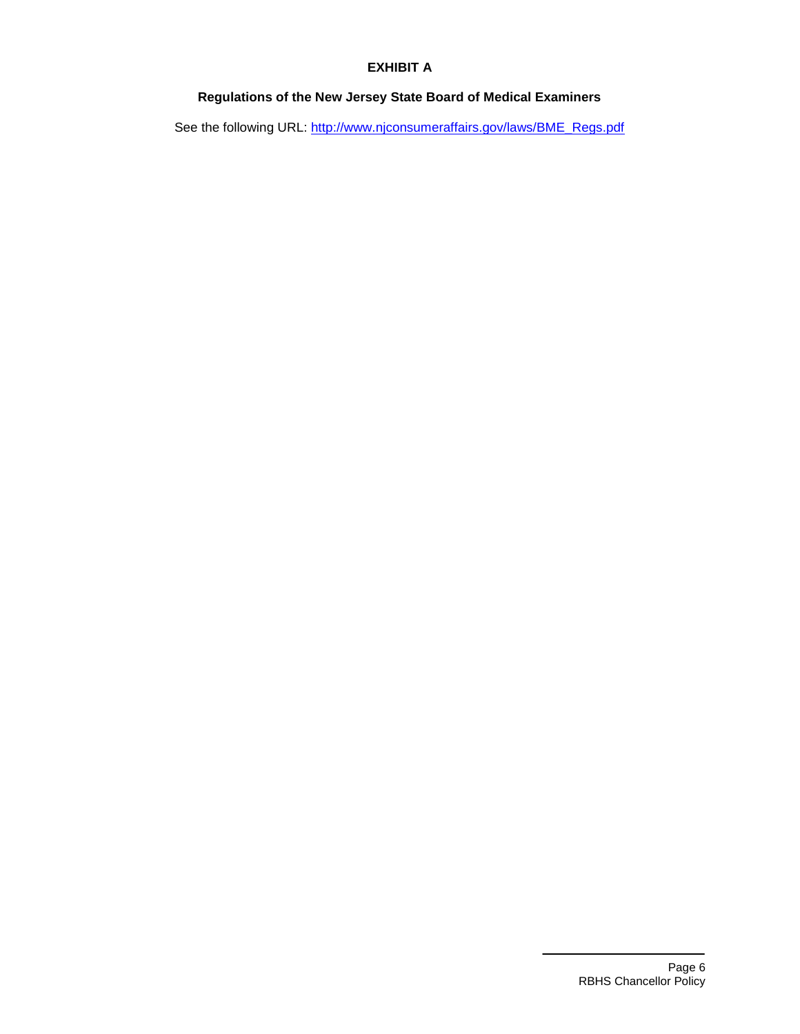## **EXHIBIT A**

# **Regulations of the New Jersey State Board of Medical Examiners**

See the following URL: [http://www.njconsumeraffairs.gov/laws/BME\\_Regs.pdf](http://www.njconsumeraffairs.gov/laws/BME_Regs.pdf)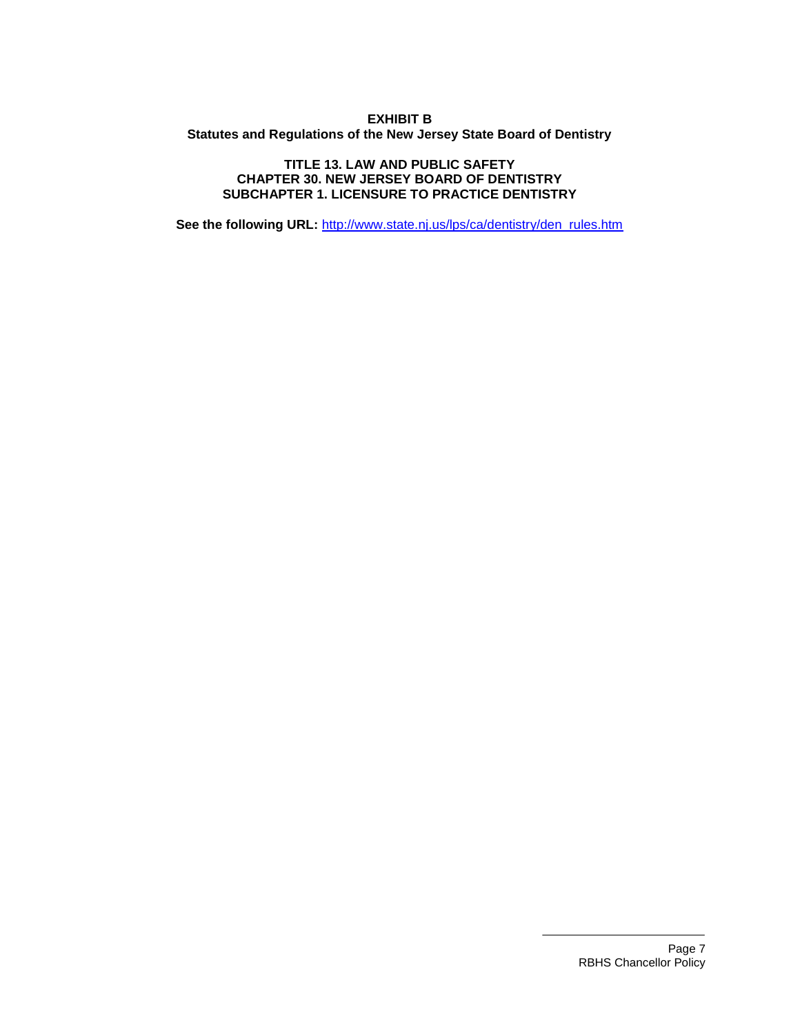#### **EXHIBIT B Statutes and Regulations of the New Jersey State Board of Dentistry**

#### **TITLE 13. LAW AND PUBLIC SAFETY CHAPTER 30. NEW JERSEY BOARD OF DENTISTRY SUBCHAPTER 1. LICENSURE TO PRACTICE DENTISTRY**

**See the following URL:** [http://www.state.nj.us/lps/ca/dentistry/den\\_rules.htm](http://www.state.nj.us/lps/ca/dentistry/den_rules.htm)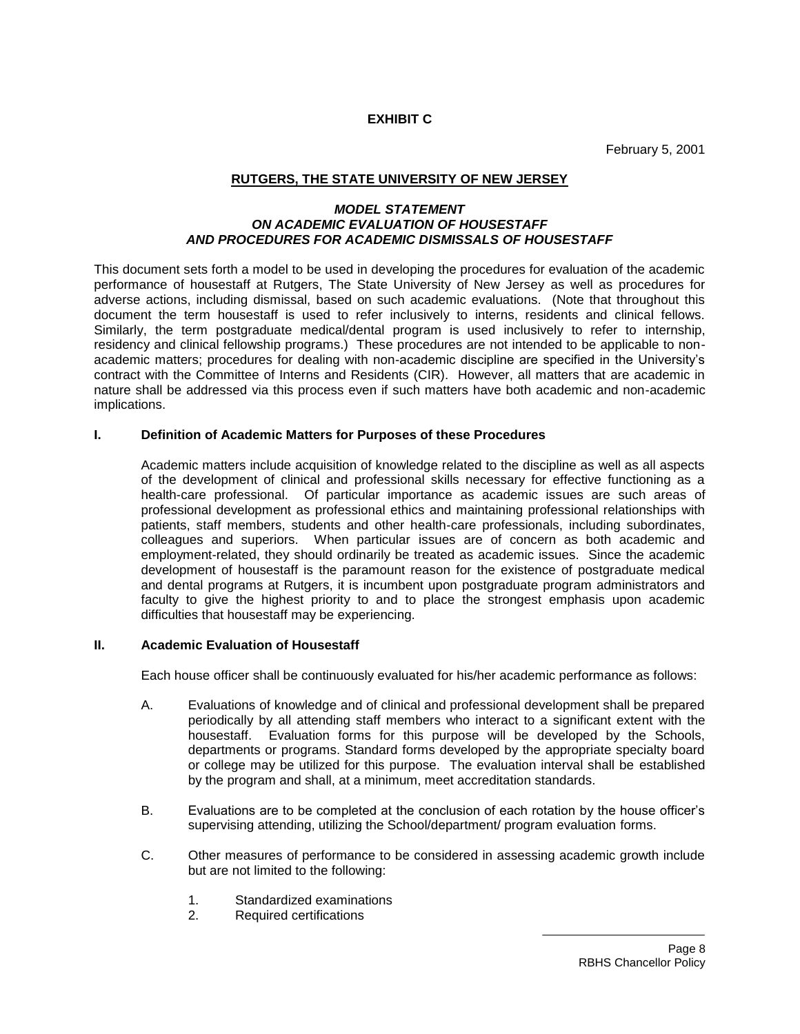**EXHIBIT C**

February 5, 2001

### **RUTGERS, THE STATE UNIVERSITY OF NEW JERSEY**

#### *MODEL STATEMENT ON ACADEMIC EVALUATION OF HOUSESTAFF AND PROCEDURES FOR ACADEMIC DISMISSALS OF HOUSESTAFF*

This document sets forth a model to be used in developing the procedures for evaluation of the academic performance of housestaff at Rutgers, The State University of New Jersey as well as procedures for adverse actions, including dismissal, based on such academic evaluations. (Note that throughout this document the term housestaff is used to refer inclusively to interns, residents and clinical fellows. Similarly, the term postgraduate medical/dental program is used inclusively to refer to internship, residency and clinical fellowship programs.) These procedures are not intended to be applicable to nonacademic matters; procedures for dealing with non-academic discipline are specified in the University's contract with the Committee of Interns and Residents (CIR). However, all matters that are academic in nature shall be addressed via this process even if such matters have both academic and non-academic implications.

#### **I. Definition of Academic Matters for Purposes of these Procedures**

Academic matters include acquisition of knowledge related to the discipline as well as all aspects of the development of clinical and professional skills necessary for effective functioning as a health-care professional. Of particular importance as academic issues are such areas of professional development as professional ethics and maintaining professional relationships with patients, staff members, students and other health-care professionals, including subordinates, colleagues and superiors. When particular issues are of concern as both academic and employment-related, they should ordinarily be treated as academic issues. Since the academic development of housestaff is the paramount reason for the existence of postgraduate medical and dental programs at Rutgers, it is incumbent upon postgraduate program administrators and faculty to give the highest priority to and to place the strongest emphasis upon academic difficulties that housestaff may be experiencing.

#### **II. Academic Evaluation of Housestaff**

Each house officer shall be continuously evaluated for his/her academic performance as follows:

- A. Evaluations of knowledge and of clinical and professional development shall be prepared periodically by all attending staff members who interact to a significant extent with the housestaff. Evaluation forms for this purpose will be developed by the Schools, departments or programs. Standard forms developed by the appropriate specialty board or college may be utilized for this purpose. The evaluation interval shall be established by the program and shall, at a minimum, meet accreditation standards.
- B. Evaluations are to be completed at the conclusion of each rotation by the house officer's supervising attending, utilizing the School/department/ program evaluation forms.
- C. Other measures of performance to be considered in assessing academic growth include but are not limited to the following:
	- 1. Standardized examinations
	- 2. Required certifications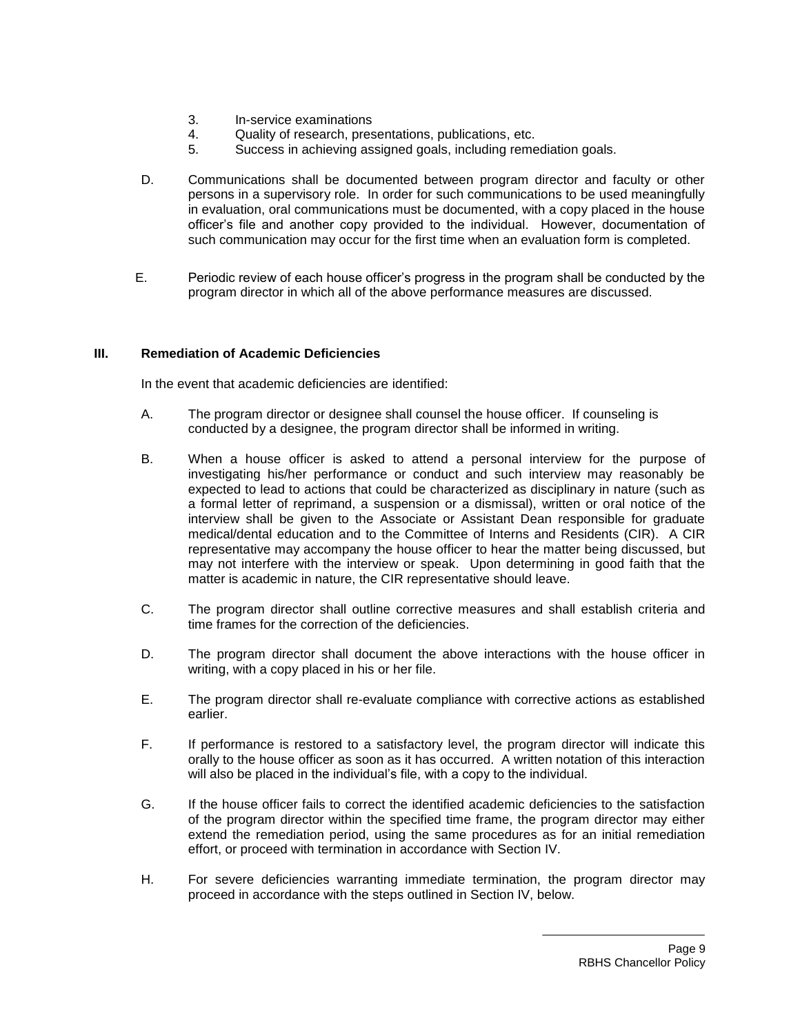- 3. In-service examinations
- 4. Quality of research, presentations, publications, etc.
- 5. Success in achieving assigned goals, including remediation goals.
- D. Communications shall be documented between program director and faculty or other persons in a supervisory role. In order for such communications to be used meaningfully in evaluation, oral communications must be documented, with a copy placed in the house officer's file and another copy provided to the individual. However, documentation of such communication may occur for the first time when an evaluation form is completed.
- E. Periodic review of each house officer's progress in the program shall be conducted by the program director in which all of the above performance measures are discussed.

#### **III. Remediation of Academic Deficiencies**

In the event that academic deficiencies are identified:

- A. The program director or designee shall counsel the house officer. If counseling is conducted by a designee, the program director shall be informed in writing.
- B. When a house officer is asked to attend a personal interview for the purpose of investigating his/her performance or conduct and such interview may reasonably be expected to lead to actions that could be characterized as disciplinary in nature (such as a formal letter of reprimand, a suspension or a dismissal), written or oral notice of the interview shall be given to the Associate or Assistant Dean responsible for graduate medical/dental education and to the Committee of Interns and Residents (CIR). A CIR representative may accompany the house officer to hear the matter being discussed, but may not interfere with the interview or speak. Upon determining in good faith that the matter is academic in nature, the CIR representative should leave.
- C. The program director shall outline corrective measures and shall establish criteria and time frames for the correction of the deficiencies.
- D. The program director shall document the above interactions with the house officer in writing, with a copy placed in his or her file.
- E. The program director shall re-evaluate compliance with corrective actions as established earlier.
- F. If performance is restored to a satisfactory level, the program director will indicate this orally to the house officer as soon as it has occurred. A written notation of this interaction will also be placed in the individual's file, with a copy to the individual.
- G. If the house officer fails to correct the identified academic deficiencies to the satisfaction of the program director within the specified time frame, the program director may either extend the remediation period, using the same procedures as for an initial remediation effort, or proceed with termination in accordance with Section IV.
- H. For severe deficiencies warranting immediate termination, the program director may proceed in accordance with the steps outlined in Section IV, below.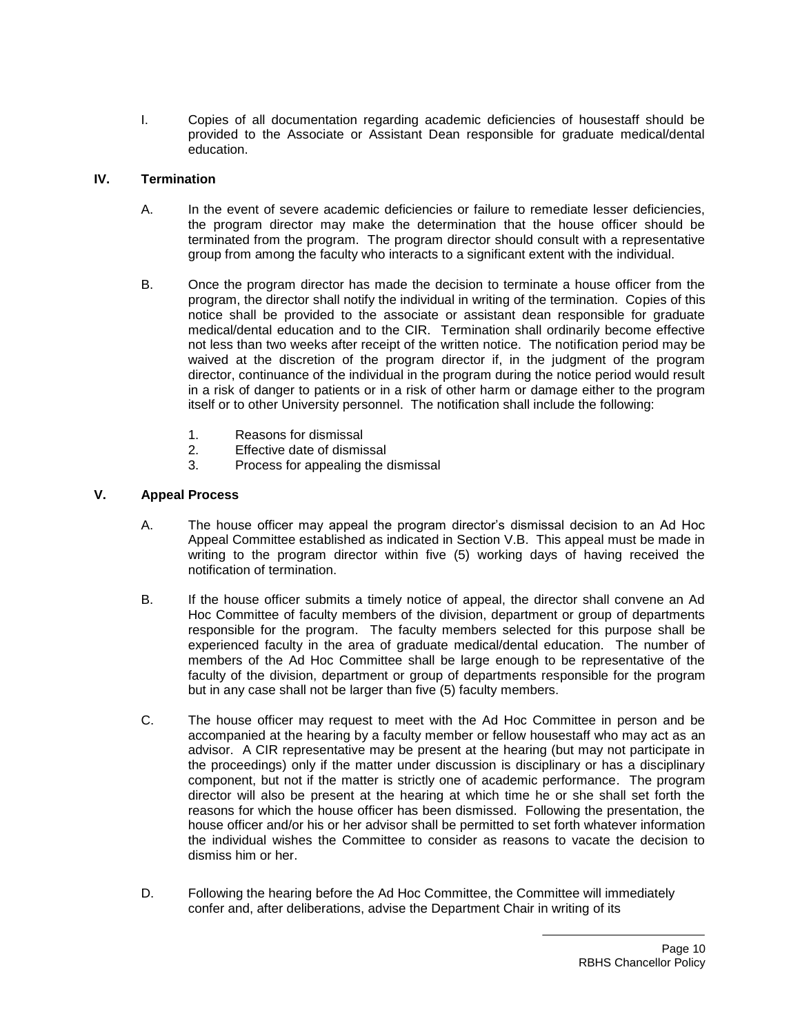I. Copies of all documentation regarding academic deficiencies of housestaff should be provided to the Associate or Assistant Dean responsible for graduate medical/dental education.

#### **IV. Termination**

- A. In the event of severe academic deficiencies or failure to remediate lesser deficiencies, the program director may make the determination that the house officer should be terminated from the program. The program director should consult with a representative group from among the faculty who interacts to a significant extent with the individual.
- B. Once the program director has made the decision to terminate a house officer from the program, the director shall notify the individual in writing of the termination. Copies of this notice shall be provided to the associate or assistant dean responsible for graduate medical/dental education and to the CIR. Termination shall ordinarily become effective not less than two weeks after receipt of the written notice. The notification period may be waived at the discretion of the program director if, in the judgment of the program director, continuance of the individual in the program during the notice period would result in a risk of danger to patients or in a risk of other harm or damage either to the program itself or to other University personnel. The notification shall include the following:
	- 1. Reasons for dismissal
	- 2. Effective date of dismissal
	- 3. Process for appealing the dismissal

#### **V. Appeal Process**

- A. The house officer may appeal the program director's dismissal decision to an Ad Hoc Appeal Committee established as indicated in Section V.B. This appeal must be made in writing to the program director within five (5) working days of having received the notification of termination.
- B. If the house officer submits a timely notice of appeal, the director shall convene an Ad Hoc Committee of faculty members of the division, department or group of departments responsible for the program. The faculty members selected for this purpose shall be experienced faculty in the area of graduate medical/dental education. The number of members of the Ad Hoc Committee shall be large enough to be representative of the faculty of the division, department or group of departments responsible for the program but in any case shall not be larger than five (5) faculty members.
- C. The house officer may request to meet with the Ad Hoc Committee in person and be accompanied at the hearing by a faculty member or fellow housestaff who may act as an advisor. A CIR representative may be present at the hearing (but may not participate in the proceedings) only if the matter under discussion is disciplinary or has a disciplinary component, but not if the matter is strictly one of academic performance. The program director will also be present at the hearing at which time he or she shall set forth the reasons for which the house officer has been dismissed. Following the presentation, the house officer and/or his or her advisor shall be permitted to set forth whatever information the individual wishes the Committee to consider as reasons to vacate the decision to dismiss him or her.
- D. Following the hearing before the Ad Hoc Committee, the Committee will immediately confer and, after deliberations, advise the Department Chair in writing of its